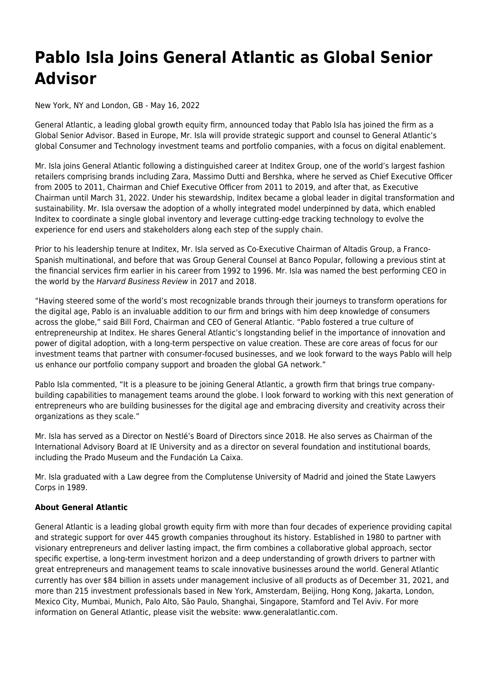## **Pablo Isla Joins General Atlantic as Global Senior Advisor**

New York, NY and London, GB - May 16, 2022

General Atlantic, a leading global growth equity firm, announced today that Pablo Isla has joined the firm as a Global Senior Advisor. Based in Europe, Mr. Isla will provide strategic support and counsel to General Atlantic's global Consumer and Technology investment teams and portfolio companies, with a focus on digital enablement.

Mr. Isla joins General Atlantic following a distinguished career at Inditex Group, one of the world's largest fashion retailers comprising brands including Zara, Massimo Dutti and Bershka, where he served as Chief Executive Officer from 2005 to 2011, Chairman and Chief Executive Officer from 2011 to 2019, and after that, as Executive Chairman until March 31, 2022. Under his stewardship, Inditex became a global leader in digital transformation and sustainability. Mr. Isla oversaw the adoption of a wholly integrated model underpinned by data, which enabled Inditex to coordinate a single global inventory and leverage cutting-edge tracking technology to evolve the experience for end users and stakeholders along each step of the supply chain.

Prior to his leadership tenure at Inditex, Mr. Isla served as Co-Executive Chairman of Altadis Group, a Franco-Spanish multinational, and before that was Group General Counsel at Banco Popular, following a previous stint at the financial services firm earlier in his career from 1992 to 1996. Mr. Isla was named the best performing CEO in the world by the Harvard Business Review in 2017 and 2018.

"Having steered some of the world's most recognizable brands through their journeys to transform operations for the digital age, Pablo is an invaluable addition to our firm and brings with him deep knowledge of consumers across the globe," said Bill Ford, Chairman and CEO of General Atlantic. "Pablo fostered a true culture of entrepreneurship at Inditex. He shares General Atlantic's longstanding belief in the importance of innovation and power of digital adoption, with a long-term perspective on value creation. These are core areas of focus for our investment teams that partner with consumer-focused businesses, and we look forward to the ways Pablo will help us enhance our portfolio company support and broaden the global GA network."

Pablo Isla commented, "It is a pleasure to be joining General Atlantic, a growth firm that brings true companybuilding capabilities to management teams around the globe. I look forward to working with this next generation of entrepreneurs who are building businesses for the digital age and embracing diversity and creativity across their organizations as they scale."

Mr. Isla has served as a Director on Nestlé's Board of Directors since 2018. He also serves as Chairman of the International Advisory Board at IE University and as a director on several foundation and institutional boards, including the Prado Museum and the Fundación La Caixa.

Mr. Isla graduated with a Law degree from the Complutense University of Madrid and joined the State Lawyers Corps in 1989.

## **About General Atlantic**

General Atlantic is a leading global growth equity firm with more than four decades of experience providing capital and strategic support for over 445 growth companies throughout its history. Established in 1980 to partner with visionary entrepreneurs and deliver lasting impact, the firm combines a collaborative global approach, sector specific expertise, a long-term investment horizon and a deep understanding of growth drivers to partner with great entrepreneurs and management teams to scale innovative businesses around the world. General Atlantic currently has over \$84 billion in assets under management inclusive of all products as of December 31, 2021, and more than 215 investment professionals based in New York, Amsterdam, Beijing, Hong Kong, Jakarta, London, Mexico City, Mumbai, Munich, Palo Alto, São Paulo, Shanghai, Singapore, Stamford and Tel Aviv. For more information on General Atlantic, please visit the website: www.generalatlantic.com.